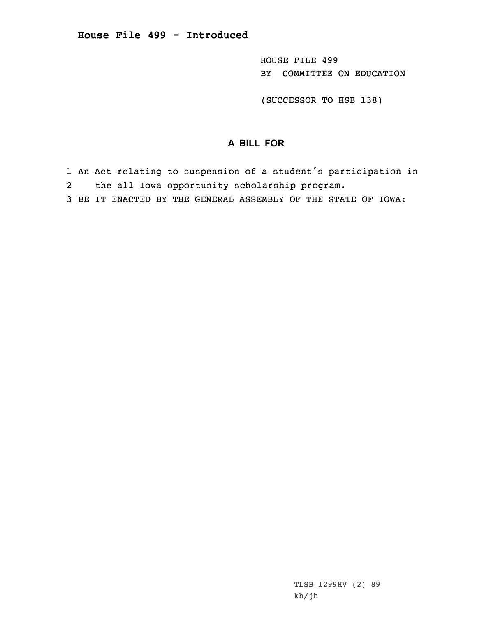HOUSE FILE 499 BY COMMITTEE ON EDUCATION

(SUCCESSOR TO HSB 138)

## **A BILL FOR**

- 1 An Act relating to suspension of <sup>a</sup> student's participation in 2the all Iowa opportunity scholarship program.
- 3 BE IT ENACTED BY THE GENERAL ASSEMBLY OF THE STATE OF IOWA:

TLSB 1299HV (2) 89 kh/jh